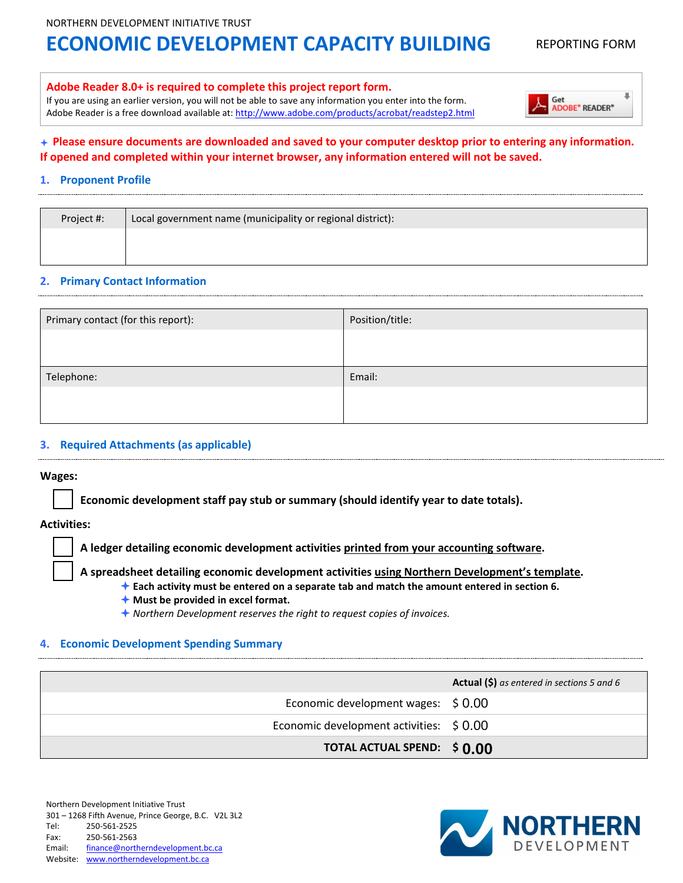# **ECONOMIC DEVELOPMENT CAPACITY BUILDING REPORTING FORM**

**ADOBE® READER®** 

Get

#### **Adobe Reader 8.0+ is required to complete this project report form.**

If you are using an earlier version, you will not be able to save any information you enter into the form. Adobe Reader is a free download available at[: http://www.adobe.com/products/acrobat/readstep2.html](http://www.adobe.com/products/acrobat/readstep2.html)

### **Please ensure documents are downloaded and saved to your computer desktop prior to entering any information. If opened and completed within your internet browser, any information entered will not be saved.**

#### **1. Proponent Profile**

| Project #: | Local government name (municipality or regional district): |
|------------|------------------------------------------------------------|
|            |                                                            |

#### **2. Primary Contact Information**

| Primary contact (for this report): | Position/title: |
|------------------------------------|-----------------|
|                                    |                 |
|                                    |                 |
| Telephone:                         | Email:          |
|                                    |                 |
|                                    |                 |

#### **3. Required Attachments (as applicable)**

#### **Wages:**

**Economic development staff pay stub or summary (should identify year to date totals).** 

**Activities:**

**A ledger detailing economic development activities printed from your accounting software.** 

**A spreadsheet detailing economic development activities using Northern Development's template.** 

**Each activity must be entered on a separate tab and match the amount entered in section 6.**

**Must be provided in excel format.**

*Northern Development reserves the right to request copies of invoices.*

#### **4. Economic Development Spending Summary**

|                                          | <b>Actual (\$)</b> as entered in sections 5 and 6 |
|------------------------------------------|---------------------------------------------------|
| Economic development wages: $$0.00$      |                                                   |
| Economic development activities: \$ 0.00 |                                                   |
| TOTAL ACTUAL SPEND: \$0.00               |                                                   |

Northern Development Initiative Trust 301 – 1268 Fifth Avenue, Prince George, B.C. V2L 3L2 Tel: 250-561-2525 Fax: 250-561-2563 Email: [finance@northerndevelopment.bc.ca](mailto:finance@northerndevelopment.bc.ca)  Website: [www.northerndevelopment.bc.ca](http://www.northerndevelopment.bc.ca/)

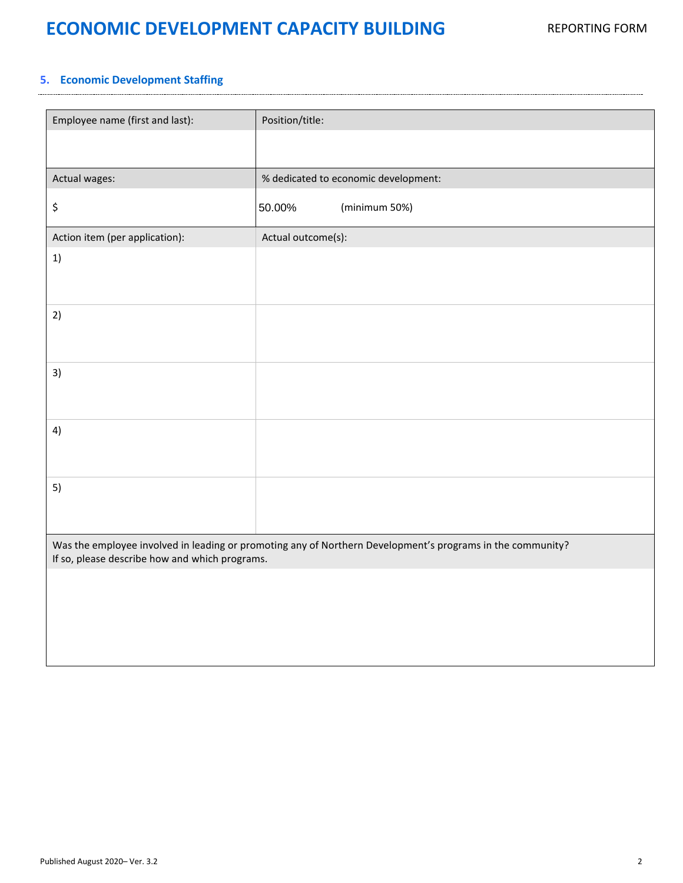# **ECONOMIC DEVELOPMENT CAPACITY BUILDING** REPORTING FORM

### **5. Economic Development Staffing**

| Employee name (first and last):                                                                                                                              | Position/title:                      |  |  |  |
|--------------------------------------------------------------------------------------------------------------------------------------------------------------|--------------------------------------|--|--|--|
|                                                                                                                                                              |                                      |  |  |  |
| Actual wages:                                                                                                                                                | % dedicated to economic development: |  |  |  |
| \$                                                                                                                                                           | 50.00%<br>(minimum 50%)              |  |  |  |
| Action item (per application):                                                                                                                               | Actual outcome(s):                   |  |  |  |
| 1)                                                                                                                                                           |                                      |  |  |  |
| 2)                                                                                                                                                           |                                      |  |  |  |
| 3)                                                                                                                                                           |                                      |  |  |  |
| 4)                                                                                                                                                           |                                      |  |  |  |
| 5)                                                                                                                                                           |                                      |  |  |  |
| Was the employee involved in leading or promoting any of Northern Development's programs in the community?<br>If so, please describe how and which programs. |                                      |  |  |  |
|                                                                                                                                                              |                                      |  |  |  |